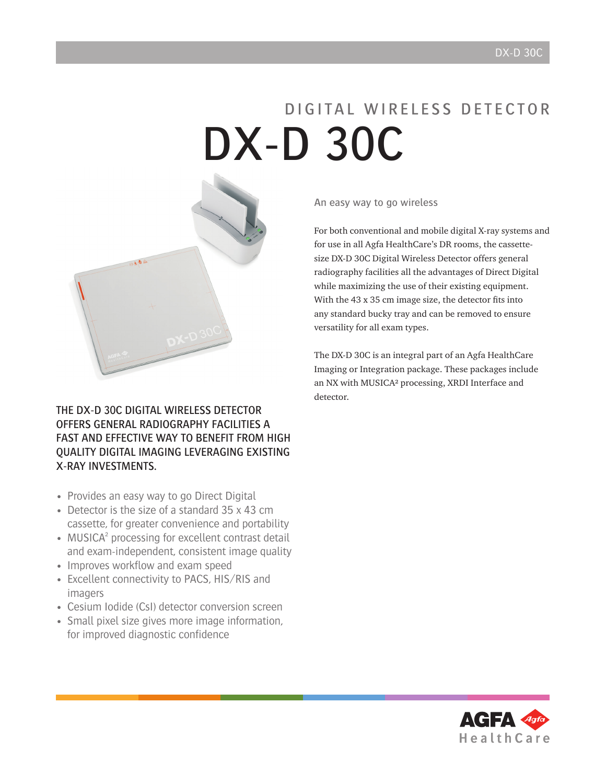# D I G I TAL WIRELESS DETECTOR DX-D 30C



The DX-D 30C Digital Wireless Detector offers general radiography facilities a fast and effective way to benefit from high quality digital imaging LEVERAGING existing X-RAY INVESTMENTS.

- Provides an easy way to go Direct Digital
- Detector is the size of a standard 35 x 43 cm cassette, for greater convenience and portability
- MUSICA<sup>2</sup> processing for excellent contrast detail and exam-independent, consistent image quality
- Improves workflow and exam speed
- Excellent connectivity to PACS, HIS/RIS and imagers
- Cesium Iodide (CsI) detector conversion screen
- Small pixel size gives more image information, for improved diagnostic confidence

An easy way to go wireless

For both conventional and mobile digital X-ray systems and for use in all Agfa HealthCare's DR rooms, the cassettesize DX-D 30C Digital Wireless Detector offers general radiography facilities all the advantages of Direct Digital while maximizing the use of their existing equipment. With the 43 x 35 cm image size, the detector fits into any standard bucky tray and can be removed to ensure versatility for all exam types.

The DX-D 30C is an integral part of an Agfa HealthCare Imaging or Integration package. These packages include an NX with MUSICA² processing, XRDI Interface and detector.

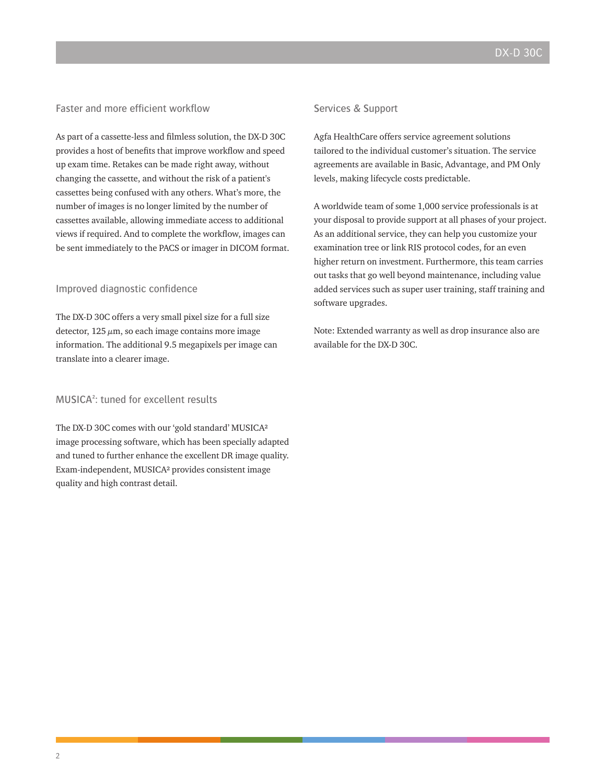# Faster and more efficient workflow

As part of a cassette-less and filmless solution, the DX-D 30C provides a host of benefits that improve workflow and speed up exam time. Retakes can be made right away, without changing the cassette, and without the risk of a patient's cassettes being confused with any others. What's more, the number of images is no longer limited by the number of cassettes available, allowing immediate access to additional views if required. And to complete the workflow, images can be sent immediately to the PACS or imager in DICOM format.

#### Improved diagnostic confidence

The DX-D 30C offers a very small pixel size for a full size detector,  $125 \mu m$ , so each image contains more image information. The additional 9.5 megapixels per image can translate into a clearer image.

# MUSICA²: tuned for excellent results

The DX-D 30C comes with our 'gold standard' MUSICA² image processing software, which has been specially adapted and tuned to further enhance the excellent DR image quality. Exam-independent, MUSICA² provides consistent image quality and high contrast detail.

# Services & Support

Agfa HealthCare offers service agreement solutions tailored to the individual customer's situation. The service agreements are available in Basic, Advantage, and PM Only levels, making lifecycle costs predictable.

A worldwide team of some 1,000 service professionals is at your disposal to provide support at all phases of your project. As an additional service, they can help you customize your examination tree or link RIS protocol codes, for an even higher return on investment. Furthermore, this team carries out tasks that go well beyond maintenance, including value added services such as super user training, staff training and software upgrades.

Note: Extended warranty as well as drop insurance also are available for the DX-D 30C.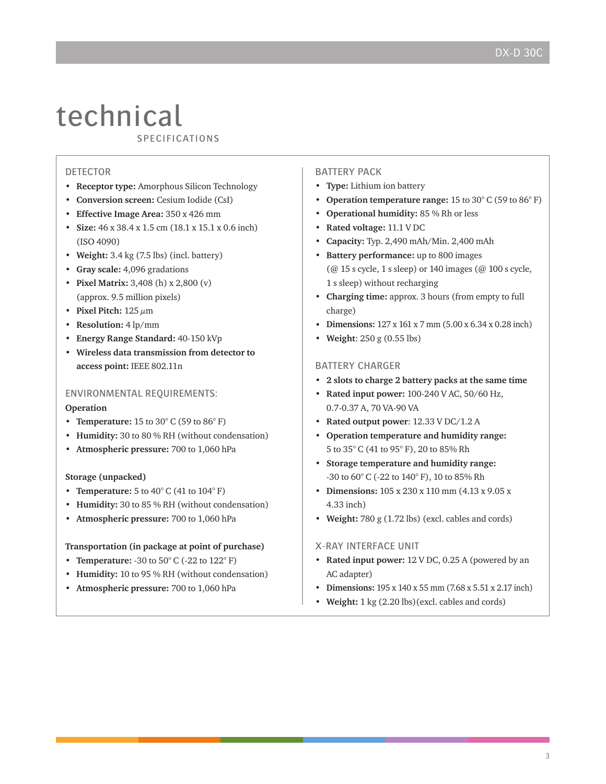# technical

specifications

# DETECTOR

- **• Receptor type:** Amorphous Silicon Technology
- **• Conversion screen:** Cesium Iodide (CsI)
- **• Effective Image Area:** 350 x 426 mm
- **• Size:** 46 x 38.4 x 1.5 cm (18.1 x 15.1 x 0.6 inch) (ISO 4090)
- **• Weight:** 3.4 kg (7.5 lbs) (incl. battery)
- **• Gray scale:** 4,096 gradations
- **• Pixel Matrix:** 3,408 (h) x 2,800 (v) (approx. 9.5 million pixels)
- **Pixel Pitch:**  $125 \mu m$
- **• Resolution:** 4 lp/mm
- **• Energy Range Standard:** 40-150 kVp
- **• Wireless data transmission from detector to access point:** IEEE 802.11n

# Environmental requirements:

#### **Operation**

- **Temperature:** 15 to 30 $^{\circ}$  C (59 to 86 $^{\circ}$  F)
- **• Humidity:** 30 to 80 % RH (without condensation)
- **• Atmospheric pressure:** 700 to 1,060 hPa

#### **Storage (unpacked)**

- **Temperature:** 5 to 40° C (41 to 104° F)
- **• Humidity:** 30 to 85 % RH (without condensation)
- **• Atmospheric pressure:** 700 to 1,060 hPa

#### **Transportation (in package at point of purchase)**

- **• Temperature:** -30 to 50° C (-22 to 122° F)
- **• Humidity:** 10 to 95 % RH (without condensation)
- **• Atmospheric pressure:** 700 to 1,060 hPa

### **BATTERY PACK**

- **• Type:** Lithium ion battery
- **• Operation temperature range:** 15 to 30° C (59 to 86° F)
- **• Operational humidity:** 85 % Rh or less
- **• Rated voltage:** 11.1 V DC
- **• Capacity:** Typ. 2,490 mAh/Min. 2,400 mAh
- **• Battery performance:** up to 800 images (@ 15 s cycle, 1 s sleep) or 140 images (@ 100 s cycle, 1 s sleep) without recharging
- **• Charging time:** approx. 3 hours (from empty to full charge)
- **• Dimensions:** 127 x 161 x 7 mm (5.00 x 6.34 x 0.28 inch)
- **• Weight**: 250 g (0.55 lbs)

### Battery charger

- **• 2 slots to charge 2 battery packs at the same time**
- **• Rated input power:** 100-240 V AC, 50/60 Hz, 0.7-0.37 A, 70 VA-90 VA
- **• Rated output power**: 12.33 V DC/1.2 A
- **• Operation temperature and humidity range:** 5 to 35° C (41 to 95° F), 20 to 85% Rh
- **• Storage temperature and humidity range:** -30 to 60° C (-22 to 140° F), 10 to 85% Rh
- **• Dimensions:** 105 x 230 x 110 mm (4.13 x 9.05 x 4.33 inch)
- **• Weight:** 780 g (1.72 lbs) (excl. cables and cords)

#### X-ray Interface Unit

- **• Rated input power:** 12 V DC, 0.25 A (powered by an AC adapter)
- **• Dimensions:** 195 x 140 x 55 mm (7.68 x 5.51 x 2.17 inch)
- **• Weight:** 1 kg (2.20 lbs)(excl. cables and cords)